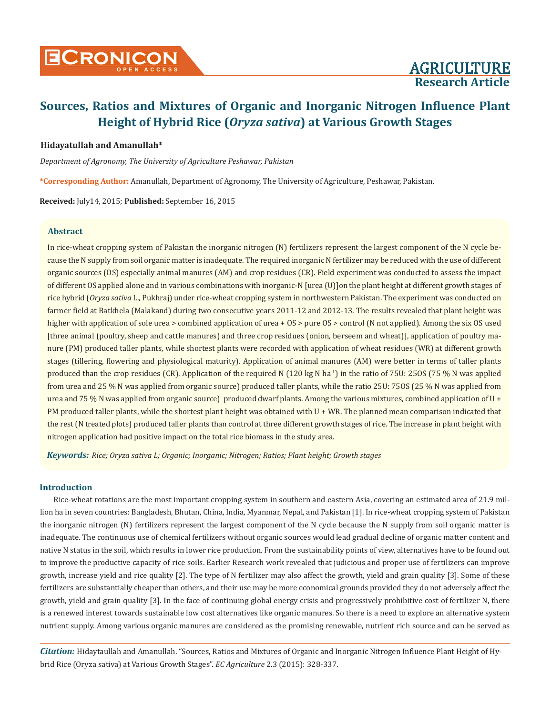### **Hidayatullah and Amanullah\***

*Department of Agronomy, The University of Agriculture Peshawar, Pakistan*

**\*Corresponding Author:** Amanullah, Department of Agronomy, The University of Agriculture, Peshawar, Pakistan.

**Received:** July14, 2015; **Published:** September 16, 2015

### **Abstract**

In rice-wheat cropping system of Pakistan the inorganic nitrogen (N) fertilizers represent the largest component of the N cycle because the N supply from soil organic matter is inadequate. The required inorganic N fertilizer may be reduced with the use of different organic sources (OS) especially animal manures (AM) and crop residues (CR). Field experiment was conducted to assess the impact of different OS applied alone and in various combinations with inorganic-N [urea (U)]on the plant height at different growth stages of rice hybrid (*Oryza sativa* L., Pukhraj) under rice-wheat cropping system in northwestern Pakistan. The experiment was conducted on farmer field at Batkhela (Malakand) during two consecutive years 2011-12 and 2012-13. The results revealed that plant height was higher with application of sole urea > combined application of urea + OS > pure OS > control (N not applied). Among the six OS used [three animal (poultry, sheep and cattle manures) and three crop residues (onion, berseem and wheat)], application of poultry manure (PM) produced taller plants, while shortest plants were recorded with application of wheat residues (WR) at different growth stages (tillering, flowering and physiological maturity). Application of animal manures (AM) were better in terms of taller plants produced than the crop residues (CR). Application of the required N (120 kg N ha<sup>-1</sup>) in the ratio of 75U: 25OS (75 % N was applied from urea and 25 % N was applied from organic source) produced taller plants, while the ratio 25U: 75OS (25 % N was applied from urea and 75 % N was applied from organic source) produced dwarf plants. Among the various mixtures, combined application of U + PM produced taller plants, while the shortest plant height was obtained with U + WR. The planned mean comparison indicated that the rest (N treated plots) produced taller plants than control at three different growth stages of rice. The increase in plant height with nitrogen application had positive impact on the total rice biomass in the study area.

*Keywords: Rice; Oryza sativa L; Organic; Inorganic; Nitrogen; Ratios; Plant height; Growth stages*

### **Introduction**

Rice-wheat rotations are the most important cropping system in southern and eastern Asia, covering an estimated area of 21.9 million ha in seven countries: Bangladesh, Bhutan, China, India, Myanmar, Nepal, and Pakistan [1]. In rice-wheat cropping system of Pakistan the inorganic nitrogen (N) fertilizers represent the largest component of the N cycle because the N supply from soil organic matter is inadequate. The continuous use of chemical fertilizers without organic sources would lead gradual decline of organic matter content and native N status in the soil, which results in lower rice production. From the sustainability points of view, alternatives have to be found out to improve the productive capacity of rice soils. Earlier Research work revealed that judicious and proper use of fertilizers can improve growth, increase yield and rice quality [2]. The type of N fertilizer may also affect the growth, yield and grain quality [3]. Some of these fertilizers are substantially cheaper than others, and their use may be more economical grounds provided they do not adversely affect the growth, yield and grain quality [3]. In the face of continuing global energy crisis and progressively prohibitive cost of fertilizer N, there is a renewed interest towards sustainable low cost alternatives like organic manures. So there is a need to explore an alternative system nutrient supply. Among various organic manures are considered as the promising renewable, nutrient rich source and can be served as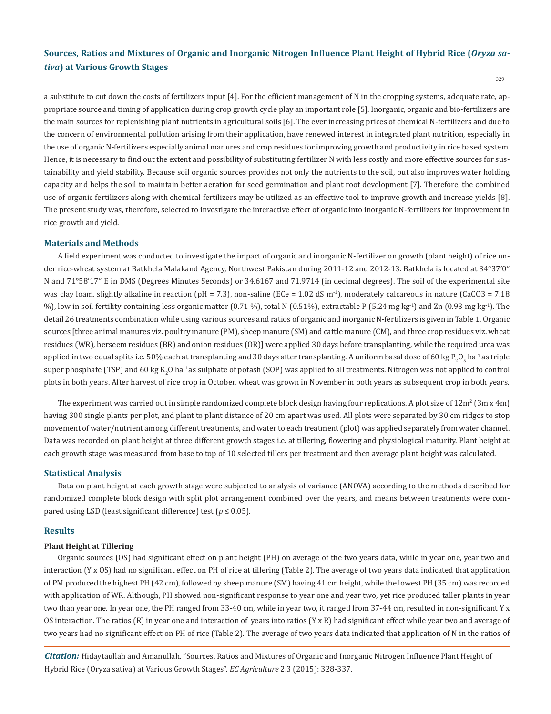329

a substitute to cut down the costs of fertilizers input [4]. For the efficient management of N in the cropping systems, adequate rate, appropriate source and timing of application during crop growth cycle play an important role [5]. Inorganic, organic and bio-fertilizers are the main sources for replenishing plant nutrients in agricultural soils [6]. The ever increasing prices of chemical N-fertilizers and due to the concern of environmental pollution arising from their application, have renewed interest in integrated plant nutrition, especially in the use of organic N-fertilizers especially animal manures and crop residues for improving growth and productivity in rice based system. Hence, it is necessary to find out the extent and possibility of substituting fertilizer N with less costly and more effective sources for sustainability and yield stability. Because soil organic sources provides not only the nutrients to the soil, but also improves water holding capacity and helps the soil to maintain better aeration for seed germination and plant root development [7]. Therefore, the combined use of organic fertilizers along with chemical fertilizers may be utilized as an effective tool to improve growth and increase yields [8]. The present study was, therefore, selected to investigate the interactive effect of organic into inorganic N-fertilizers for improvement in rice growth and yield.

#### **Materials and Methods**

A field experiment was conducted to investigate the impact of organic and inorganic N-fertilizer on growth (plant height) of rice under rice-wheat system at Batkhela Malakand Agency, Northwest Pakistan during 2011-12 and 2012-13. Batkhela is located at 34°37'0" N and 71°58'17" E in DMS (Degrees Minutes Seconds) or 34.6167 and 71.9714 (in decimal degrees). The soil of the experimental site was clay loam, slightly alkaline in reaction (pH = 7.3), non-saline (ECe = 1.02 dS m<sup>-1</sup>), moderately calcareous in nature (CaCO3 = 7.18 %), low in soil fertility containing less organic matter (0.71 %), total N (0.51%), extractable P (5.24 mg kg<sup>-1</sup>) and Zn (0.93 mg kg<sup>-1</sup>). The detail 26 treatments combination while using various sources and ratios of organic and inorganic N-fertilizers is given in Table 1. Organic sources [three animal manures viz. poultry manure (PM), sheep manure (SM) and cattle manure (CM), and three crop residues viz. wheat residues (WR), berseem residues (BR) and onion residues (OR)] were applied 30 days before transplanting, while the required urea was applied in two equal splits i.e. 50% each at transplanting and 30 days after transplanting. A uniform basal dose of 60 kg P $_{\rm 2}$ O<sub>5</sub> ha<sup>-1</sup> as triple super phosphate (TSP) and 60 kg  $\rm K_2O$  ha<sup>-1</sup> as sulphate of potash (SOP) was applied to all treatments. Nitrogen was not applied to control plots in both years. After harvest of rice crop in October, wheat was grown in November in both years as subsequent crop in both years.

The experiment was carried out in simple randomized complete block design having four replications. A plot size of  $12\text{m}^2\, (3\text{m} \times 4\text{m})$ having 300 single plants per plot, and plant to plant distance of 20 cm apart was used. All plots were separated by 30 cm ridges to stop movement of water/nutrient among different treatments, and water to each treatment (plot) was applied separately from water channel. Data was recorded on plant height at three different growth stages i.e. at tillering, flowering and physiological maturity. Plant height at each growth stage was measured from base to top of 10 selected tillers per treatment and then average plant height was calculated.

#### **Statistical Analysis**

Data on plant height at each growth stage were subjected to analysis of variance (ANOVA) according to the methods described for randomized complete block design with split plot arrangement combined over the years, and means between treatments were compared using LSD (least significant difference) test ( $p \le 0.05$ ).

#### **Results**

### **Plant Height at Tillering**

Organic sources (OS) had significant effect on plant height (PH) on average of the two years data, while in year one, year two and interaction (Y x OS) had no significant effect on PH of rice at tillering (Table 2). The average of two years data indicated that application of PM produced the highest PH (42 cm), followed by sheep manure (SM) having 41 cm height, while the lowest PH (35 cm) was recorded with application of WR. Although, PH showed non-significant response to year one and year two, yet rice produced taller plants in year two than year one. In year one, the PH ranged from 33-40 cm, while in year two, it ranged from 37-44 cm, resulted in non-significant Y x OS interaction. The ratios (R) in year one and interaction of years into ratios (Y x R) had significant effect while year two and average of two years had no significant effect on PH of rice (Table 2). The average of two years data indicated that application of N in the ratios of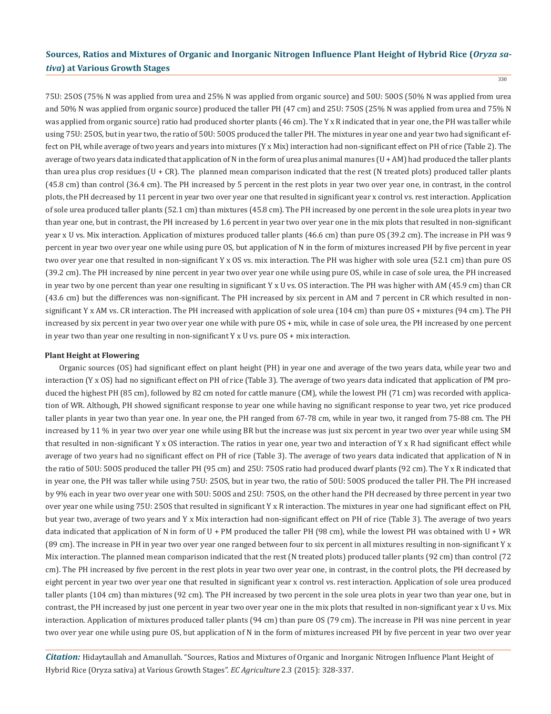330

75U: 25OS (75% N was applied from urea and 25% N was applied from organic source) and 50U: 50OS (50% N was applied from urea and 50% N was applied from organic source) produced the taller PH (47 cm) and 25U: 75OS (25% N was applied from urea and 75% N was applied from organic source) ratio had produced shorter plants (46 cm). The Y x R indicated that in year one, the PH was taller while using 75U: 25OS, but in year two, the ratio of 50U: 50OS produced the taller PH. The mixtures in year one and year two had significant effect on PH, while average of two years and years into mixtures (Y x Mix) interaction had non-significant effect on PH of rice (Table 2). The average of two years data indicated that application of N in the form of urea plus animal manures (U + AM) had produced the taller plants than urea plus crop residues (U + CR). The planned mean comparison indicated that the rest (N treated plots) produced taller plants (45.8 cm) than control (36.4 cm). The PH increased by 5 percent in the rest plots in year two over year one, in contrast, in the control plots, the PH decreased by 11 percent in year two over year one that resulted in significant year x control vs. rest interaction. Application of sole urea produced taller plants (52.1 cm) than mixtures (45.8 cm). The PH increased by one percent in the sole urea plots in year two than year one, but in contrast, the PH increased by 1.6 percent in year two over year one in the mix plots that resulted in non-significant year x U vs. Mix interaction. Application of mixtures produced taller plants (46.6 cm) than pure OS (39.2 cm). The increase in PH was 9 percent in year two over year one while using pure OS, but application of N in the form of mixtures increased PH by five percent in year two over year one that resulted in non-significant Y x OS vs. mix interaction. The PH was higher with sole urea (52.1 cm) than pure OS (39.2 cm). The PH increased by nine percent in year two over year one while using pure OS, while in case of sole urea, the PH increased in year two by one percent than year one resulting in significant Y x U vs. OS interaction. The PH was higher with AM (45.9 cm) than CR (43.6 cm) but the differences was non-significant. The PH increased by six percent in AM and 7 percent in CR which resulted in nonsignificant Y x AM vs. CR interaction. The PH increased with application of sole urea (104 cm) than pure OS + mixtures (94 cm). The PH increased by six percent in year two over year one while with pure OS + mix, while in case of sole urea, the PH increased by one percent in year two than year one resulting in non-significant Y x U vs. pure OS + mix interaction.

### **Plant Height at Flowering**

Organic sources (OS) had significant effect on plant height (PH) in year one and average of the two years data, while year two and interaction (Y x OS) had no significant effect on PH of rice (Table 3). The average of two years data indicated that application of PM produced the highest PH (85 cm), followed by 82 cm noted for cattle manure (CM), while the lowest PH (71 cm) was recorded with application of WR. Although, PH showed significant response to year one while having no significant response to year two, yet rice produced taller plants in year two than year one. In year one, the PH ranged from 67-78 cm, while in year two, it ranged from 75-88 cm. The PH increased by 11 % in year two over year one while using BR but the increase was just six percent in year two over year while using SM that resulted in non-significant Y x OS interaction. The ratios in year one, year two and interaction of Y x R had significant effect while average of two years had no significant effect on PH of rice (Table 3). The average of two years data indicated that application of N in the ratio of 50U: 50OS produced the taller PH (95 cm) and 25U: 75OS ratio had produced dwarf plants (92 cm). The Y x R indicated that in year one, the PH was taller while using 75U: 25OS, but in year two, the ratio of 50U: 50OS produced the taller PH. The PH increased by 9% each in year two over year one with 50U: 50OS and 25U: 75OS, on the other hand the PH decreased by three percent in year two over year one while using 75U: 25OS that resulted in significant Y x R interaction. The mixtures in year one had significant effect on PH, but year two, average of two years and Y x Mix interaction had non-significant effect on PH of rice (Table 3). The average of two years data indicated that application of N in form of U + PM produced the taller PH (98 cm), while the lowest PH was obtained with U + WR (89 cm). The increase in PH in year two over year one ranged between four to six percent in all mixtures resulting in non-significant Y x Mix interaction. The planned mean comparison indicated that the rest (N treated plots) produced taller plants (92 cm) than control (72 cm). The PH increased by five percent in the rest plots in year two over year one, in contrast, in the control plots, the PH decreased by eight percent in year two over year one that resulted in significant year x control vs. rest interaction. Application of sole urea produced taller plants (104 cm) than mixtures (92 cm). The PH increased by two percent in the sole urea plots in year two than year one, but in contrast, the PH increased by just one percent in year two over year one in the mix plots that resulted in non-significant year x U vs. Mix interaction. Application of mixtures produced taller plants (94 cm) than pure OS (79 cm). The increase in PH was nine percent in year two over year one while using pure OS, but application of N in the form of mixtures increased PH by five percent in year two over year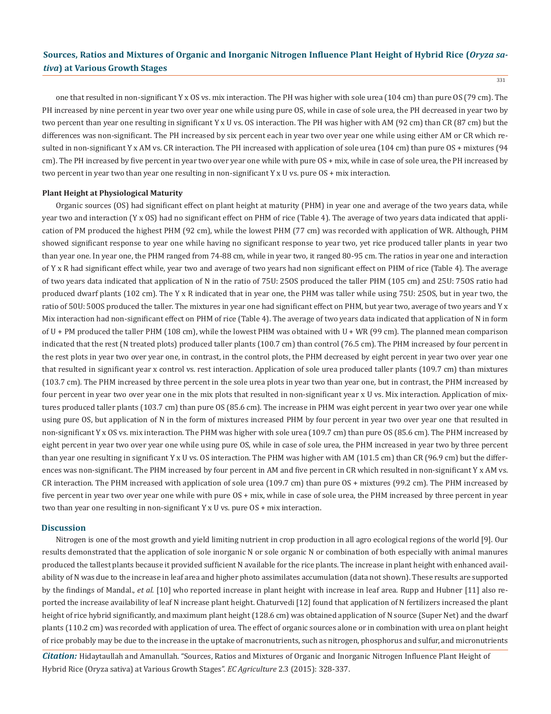one that resulted in non-significant Y x OS vs. mix interaction. The PH was higher with sole urea (104 cm) than pure OS (79 cm). The PH increased by nine percent in year two over year one while using pure OS, while in case of sole urea, the PH decreased in year two by two percent than year one resulting in significant Y x U vs. OS interaction. The PH was higher with AM (92 cm) than CR (87 cm) but the differences was non-significant. The PH increased by six percent each in year two over year one while using either AM or CR which resulted in non-significant Y x AM vs. CR interaction. The PH increased with application of sole urea (104 cm) than pure OS + mixtures (94 cm). The PH increased by five percent in year two over year one while with pure OS + mix, while in case of sole urea, the PH increased by two percent in year two than year one resulting in non-significant Y x U vs. pure OS + mix interaction.

#### **Plant Height at Physiological Maturity**

Organic sources (OS) had significant effect on plant height at maturity (PHM) in year one and average of the two years data, while year two and interaction (Y x OS) had no significant effect on PHM of rice (Table 4). The average of two years data indicated that application of PM produced the highest PHM (92 cm), while the lowest PHM (77 cm) was recorded with application of WR. Although, PHM showed significant response to year one while having no significant response to year two, yet rice produced taller plants in year two than year one. In year one, the PHM ranged from 74-88 cm, while in year two, it ranged 80-95 cm. The ratios in year one and interaction of Y x R had significant effect while, year two and average of two years had non significant effect on PHM of rice (Table 4). The average of two years data indicated that application of N in the ratio of 75U: 25OS produced the taller PHM (105 cm) and 25U: 75OS ratio had produced dwarf plants (102 cm). The Y x R indicated that in year one, the PHM was taller while using 75U: 25OS, but in year two, the ratio of 50U: 50OS produced the taller. The mixtures in year one had significant effect on PHM, but year two, average of two years and Y x Mix interaction had non-significant effect on PHM of rice (Table 4). The average of two years data indicated that application of N in form of U + PM produced the taller PHM (108 cm), while the lowest PHM was obtained with U + WR (99 cm). The planned mean comparison indicated that the rest (N treated plots) produced taller plants (100.7 cm) than control (76.5 cm). The PHM increased by four percent in the rest plots in year two over year one, in contrast, in the control plots, the PHM decreased by eight percent in year two over year one that resulted in significant year x control vs. rest interaction. Application of sole urea produced taller plants (109.7 cm) than mixtures (103.7 cm). The PHM increased by three percent in the sole urea plots in year two than year one, but in contrast, the PHM increased by four percent in year two over year one in the mix plots that resulted in non-significant year x U vs. Mix interaction. Application of mixtures produced taller plants (103.7 cm) than pure OS (85.6 cm). The increase in PHM was eight percent in year two over year one while using pure OS, but application of N in the form of mixtures increased PHM by four percent in year two over year one that resulted in non-significant Y x OS vs. mix interaction. The PHM was higher with sole urea (109.7 cm) than pure OS (85.6 cm). The PHM increased by eight percent in year two over year one while using pure OS, while in case of sole urea, the PHM increased in year two by three percent than year one resulting in significant Y x U vs. OS interaction. The PHM was higher with AM (101.5 cm) than CR (96.9 cm) but the differences was non-significant. The PHM increased by four percent in AM and five percent in CR which resulted in non-significant Y x AM vs. CR interaction. The PHM increased with application of sole urea (109.7 cm) than pure OS + mixtures (99.2 cm). The PHM increased by five percent in year two over year one while with pure OS + mix, while in case of sole urea, the PHM increased by three percent in year two than year one resulting in non-significant Y x U vs. pure OS + mix interaction.

### **Discussion**

Nitrogen is one of the most growth and yield limiting nutrient in crop production in all agro ecological regions of the world [9]. Our results demonstrated that the application of sole inorganic N or sole organic N or combination of both especially with animal manures produced the tallest plants because it provided sufficient N available for the rice plants. The increase in plant height with enhanced availability of N was due to the increase in leaf area and higher photo assimilates accumulation (data not shown). These results are supported by the findings of Mandal., *et al*. [10] who reported increase in plant height with increase in leaf area. Rupp and Hubner [11] also reported the increase availability of leaf N increase plant height. Chaturvedi [12] found that application of N fertilizers increased the plant height of rice hybrid significantly, and maximum plant height (128.6 cm) was obtained application of N source (Super Net) and the dwarf plants (110.2 cm) was recorded with application of urea. The effect of organic sources alone or in combination with urea on plant height of rice probably may be due to the increase in the uptake of macronutrients, such as nitrogen, phosphorus and sulfur, and micronutrients

<sup>331</sup>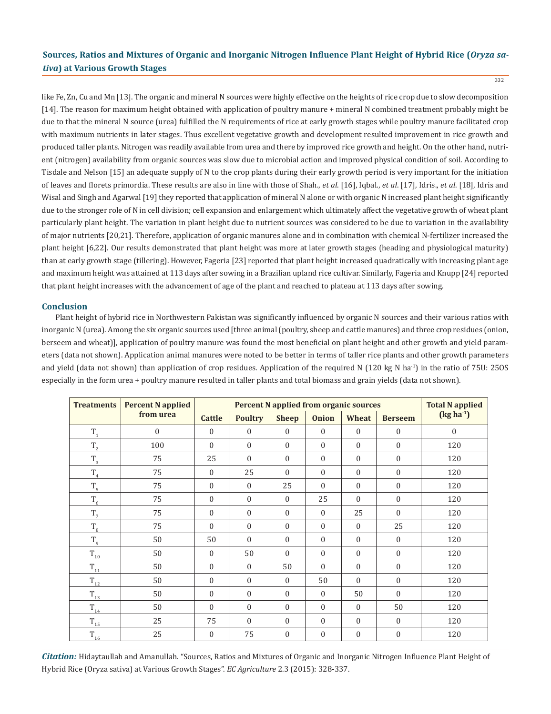332

like Fe, Zn, Cu and Mn [13]. The organic and mineral N sources were highly effective on the heights of rice crop due to slow decomposition [14]. The reason for maximum height obtained with application of poultry manure + mineral N combined treatment probably might be due to that the mineral N source (urea) fulfilled the N requirements of rice at early growth stages while poultry manure facilitated crop with maximum nutrients in later stages. Thus excellent vegetative growth and development resulted improvement in rice growth and produced taller plants. Nitrogen was readily available from urea and there by improved rice growth and height. On the other hand, nutrient (nitrogen) availability from organic sources was slow due to microbial action and improved physical condition of soil. According to Tisdale and Nelson [15] an adequate supply of N to the crop plants during their early growth period is very important for the initiation of leaves and florets primordia. These results are also in line with those of Shah., *et al*. [16], Iqbal., *et al*. [17], Idris., *et al*. [18], Idris and Wisal and Singh and Agarwal [19] they reported that application of mineral N alone or with organic N increased plant height significantly due to the stronger role of N in cell division; cell expansion and enlargement which ultimately affect the vegetative growth of wheat plant particularly plant height. The variation in plant height due to nutrient sources was considered to be due to variation in the availability of major nutrients [20,21]. Therefore, application of organic manures alone and in combination with chemical N-fertilizer increased the plant height [6,22]. Our results demonstrated that plant height was more at later growth stages (heading and physiological maturity) than at early growth stage (tillering). However, Fageria [23] reported that plant height increased quadratically with increasing plant age and maximum height was attained at 113 days after sowing in a Brazilian upland rice cultivar. Similarly, Fageria and Knupp [24] reported that plant height increases with the advancement of age of the plant and reached to plateau at 113 days after sowing.

### **Conclusion**

Plant height of hybrid rice in Northwestern Pakistan was significantly influenced by organic N sources and their various ratios with inorganic N (urea). Among the six organic sources used [three animal (poultry, sheep and cattle manures) and three crop residues (onion, berseem and wheat)], application of poultry manure was found the most beneficial on plant height and other growth and yield parameters (data not shown). Application animal manures were noted to be better in terms of taller rice plants and other growth parameters and yield (data not shown) than application of crop residues. Application of the required N (120 kg N ha<sup>-1</sup>) in the ratio of 75U: 25OS especially in the form urea + poultry manure resulted in taller plants and total biomass and grain yields (data not shown).

| <b>Treatments</b>                       | <b>Percent N</b> applied | <b>Percent N applied from organic sources</b> |                  |              |              |              |                  | <b>Total N</b> applied |
|-----------------------------------------|--------------------------|-----------------------------------------------|------------------|--------------|--------------|--------------|------------------|------------------------|
|                                         | from urea                | <b>Cattle</b>                                 | <b>Poultry</b>   | <b>Sheep</b> | <b>Onion</b> | Wheat        | <b>Berseem</b>   | $(kg ha-1)$            |
| $T_{1}$                                 | $\Omega$                 | $\theta$                                      | $\mathbf{0}$     | $\Omega$     | $\Omega$     | $\Omega$     | $\Omega$         | $\Omega$               |
| $\rm T_{_2}$                            | 100                      | $\theta$                                      | $\mathbf{0}$     | $\Omega$     | $\mathbf{0}$ | $\mathbf{0}$ | $\Omega$         | 120                    |
| $T_{3}$                                 | 75                       | 25                                            | $\mathbf{0}$     | $\mathbf{0}$ | $\mathbf{0}$ | $\mathbf{0}$ | $\Omega$         | 120                    |
| $T_{4}$                                 | 75                       | $\mathbf{0}$                                  | 25               | $\mathbf{0}$ | $\mathbf{0}$ | $\mathbf{0}$ | $\mathbf{0}$     | 120                    |
| $T_{\frac{5}{2}}$                       | 75                       | $\mathbf{0}$                                  | $\boldsymbol{0}$ | 25           | $\Omega$     | $\mathbf{0}$ | $\Omega$         | 120                    |
| $T_6$                                   | 75                       | $\mathbf{0}$                                  | $\mathbf{0}$     | $\mathbf{0}$ | 25           | $\mathbf{0}$ | $\mathbf{0}$     | 120                    |
| T <sub>7</sub>                          | 75                       | $\mathbf{0}$                                  | $\boldsymbol{0}$ | $\mathbf{0}$ | $\mathbf{0}$ | 25           | $\Omega$         | 120                    |
| $\rm T_{\rm 8}$                         | 75                       | $\Omega$                                      | $\boldsymbol{0}$ | $\mathbf{0}$ | $\Omega$     | $\mathbf{0}$ | 25               | 120                    |
| T <sub>9</sub>                          | 50                       | 50                                            | $\mathbf{0}$     | $\mathbf{0}$ | $\mathbf{0}$ | $\mathbf{0}$ | $\mathbf{0}$     | 120                    |
| $T_{\underline{10}}$                    | 50                       | $\mathbf{0}$                                  | 50               | $\mathbf{0}$ | $\mathbf{0}$ | $\mathbf{0}$ | $\mathbf{0}$     | 120                    |
| $\text{T}_{\underline{1}\underline{1}}$ | 50                       | $\mathbf{0}$                                  | $\mathbf{0}$     | 50           | $\mathbf{0}$ | $\mathbf{0}$ | $\mathbf{0}$     | 120                    |
| $\rm T_{_{12}}$                         | 50                       | $\mathbf{0}$                                  | $\mathbf{0}$     | $\Omega$     | 50           | $\theta$     | $\Omega$         | 120                    |
| $T_{13}$                                | 50                       | $\mathbf{0}$                                  | $\mathbf{0}$     | $\mathbf{0}$ | $\mathbf{0}$ | 50           | $\Omega$         | 120                    |
| $T_{\underline{14}}$                    | 50                       | $\mathbf{0}$                                  | $\mathbf{0}$     | $\mathbf{0}$ | $\mathbf{0}$ | $\mathbf{0}$ | 50               | 120                    |
| $\rm T_{15}$                            | 25                       | 75                                            | $\mathbf{0}$     | $\Omega$     | $\mathbf{0}$ | $\mathbf{0}$ | $\boldsymbol{0}$ | 120                    |
| $T_{\underline{16}}$                    | 25                       | $\mathbf{0}$                                  | 75               | $\mathbf{0}$ | $\mathbf{0}$ | $\mathbf{0}$ | $\mathbf{0}$     | 120                    |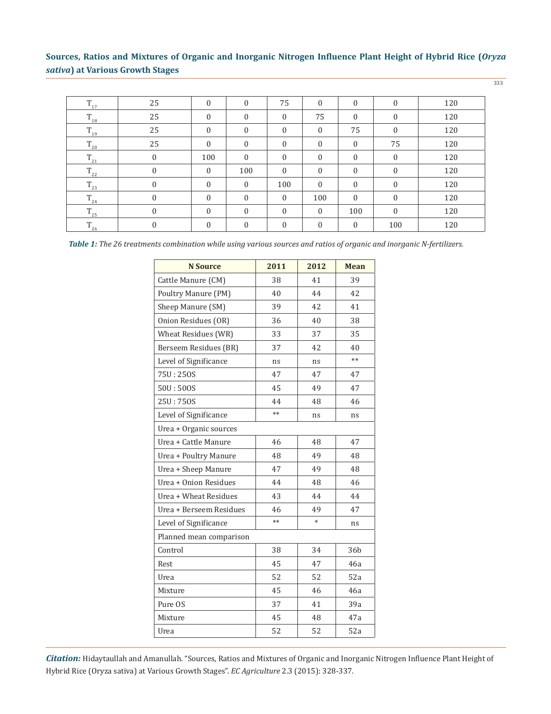333

| $\rm T_{_{17}}$   | 25             | $\boldsymbol{0}$ | $\mathbf{0}$     | 75           | $\mathbf{0}$ | $\mathbf{0}$ | $\mathbf{0}$     | 120 |
|-------------------|----------------|------------------|------------------|--------------|--------------|--------------|------------------|-----|
| $\rm T_{_{18}}$   | 25             | $\mathbf{0}$     | $\mathbf{0}$     | $\mathbf{0}$ | 75           | $\mathbf{0}$ | $\boldsymbol{0}$ | 120 |
| $\mathrm{T}_{19}$ | 25             | $\Omega$         | $\mathbf{0}$     | $\Omega$     | $\Omega$     | 75           | $\mathbf{0}$     | 120 |
| $\rm T_{_{20}}$   | 25             | $\mathbf{0}$     | $\mathbf{0}$     | $\mathbf{0}$ | $\mathbf{0}$ | $\mathbf{0}$ | 75               | 120 |
| $\rm T_{21}$      | 0              | 100              | $\mathbf{0}$     | $\Omega$     | $\Omega$     | $\mathbf{0}$ | $\mathbf{0}$     | 120 |
| $\rm T_{_{22}}$   | $\overline{0}$ | $\mathbf{0}$     | 100              | $\Omega$     | $\theta$     | $\mathbf{0}$ | $\mathbf{0}$     | 120 |
| $\rm T_{_{23}}$   | 0              | $\mathbf{0}$     | $\boldsymbol{0}$ | 100          | $\theta$     | $\mathbf{0}$ | $\mathbf{0}$     | 120 |
| $\rm T_{_{24}}$   | 0              | $\Omega$         | $\mathbf{0}$     | $\mathbf{0}$ | 100          | $\mathbf{0}$ | $\mathbf{0}$     | 120 |
| $\rm T_{25}$      | $\overline{0}$ | $\mathbf{0}$     | $\mathbf{0}$     | $\theta$     | $\mathbf{0}$ | 100          | $\mathbf{0}$     | 120 |
| $\rm T_{26}$      | 0              | $\mathbf{0}$     | $\theta$         | $\Omega$     | $\mathbf{0}$ | $\mathbf{0}$ | 100              | 120 |

*Table 1: The 26 treatments combination while using various sources and ratios of organic and inorganic N-fertilizers.*

| <b>N</b> Source         | 2011 | 2012   | <b>Mean</b> |
|-------------------------|------|--------|-------------|
| Cattle Manure (CM)      | 38   | 41     | 39          |
| Poultry Manure (PM)     | 40   | 44     | 42          |
| Sheep Manure (SM)       | 39   | 42     | 41          |
| Onion Residues (OR)     | 36   | 40     | 38          |
| Wheat Residues (WR)     | 33   | 37     | 35          |
| Berseem Residues (BR)   | 37   | 42     | 40          |
| Level of Significance   | ns   | ns     | $**$        |
| 75U: 250S               | 47   | 47     | 47          |
| 50U:500S                | 45   | 49     | 47          |
| 25U:750S                | 44   | 48     | 46          |
| Level of Significance   | $**$ | ns     | ns          |
| Urea + Organic sources  |      |        |             |
| Urea + Cattle Manure    | 46   | 48     | 47          |
| Urea + Poultry Manure   | 48   | 49     | 48          |
| Urea + Sheep Manure     | 47   | 49     | 48          |
| Urea + Onion Residues   | 44   | 48     | 46          |
| Urea + Wheat Residues   | 43   | 44     | 44          |
| Urea + Berseem Residues | 46   | 49     | 47          |
| Level of Significance   | $**$ | $\ast$ | ns          |
| Planned mean comparison |      |        |             |
| Control                 | 38   | 34     | 36b         |
| Rest                    | 45   | 47     | 46a         |
| Urea                    | 52   | 52     | 52a         |
| Mixture                 | 45   | 46     | 46a         |
| Pure OS                 | 37   | 41     | 39a         |
| Mixture                 | 45   | 48     | 47a         |
| Urea                    | 52   | 52     | 52a         |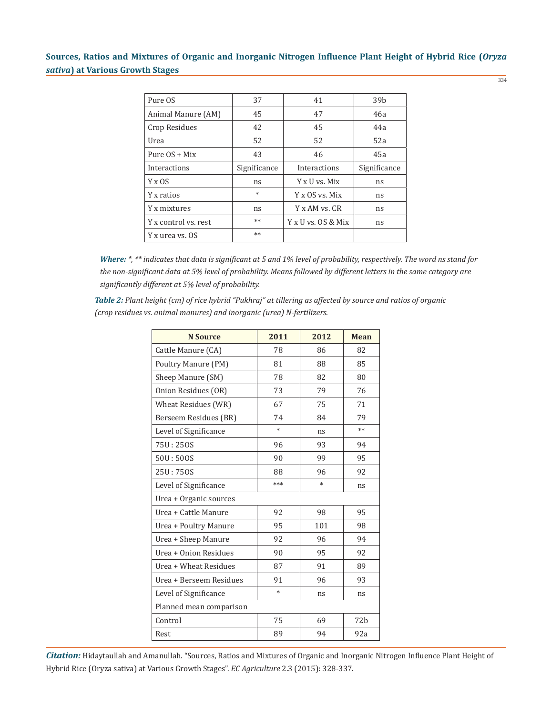| Pure OS              | 37           | 41                 | 39 <sub>b</sub> |
|----------------------|--------------|--------------------|-----------------|
| Animal Manure (AM)   | 45           | 47                 | 46a             |
| Crop Residues        | 42           | 45                 | 44a             |
| Urea                 | 52           | 52                 | 52a             |
| Pure $OS + Mix$      | 43           | 46                 | 45a             |
| Interactions         | Significance | Interactions       | Significance    |
| $Y \times OS$        | ns           | Y x U vs. Mix      | ns              |
| Y x ratios           | $\ast$       | Y x OS vs. Mix     | ns              |
| Y x mixtures         | ns           | Y x AM vs. CR      | ns              |
| Y x control vs. rest | $**$         | Y x U vs. OS & Mix | ns              |
| Y x urea vs. OS      | $**$         |                    |                 |

*Where: \*, \*\* indicates that data is significant at 5 and 1% level of probability, respectively. The word ns stand for the non-significant data at 5% level of probability. Means followed by different letters in the same category are significantly different at 5% level of probability.*

*Table 2: Plant height (cm) of rice hybrid "Pukhraj" at tillering as affected by source and ratios of organic (crop residues vs. animal manures) and inorganic (urea) N-fertilizers.*

| <b>N</b> Source         | 2011   | 2012   | <b>Mean</b>     |  |  |
|-------------------------|--------|--------|-----------------|--|--|
| Cattle Manure (CA)      | 78     | 86     | 82              |  |  |
| Poultry Manure (PM)     | 81     | 88     | 85              |  |  |
| Sheep Manure (SM)       | 78     | 82     | 80              |  |  |
| Onion Residues (OR)     | 73     | 79     | 76              |  |  |
| Wheat Residues (WR)     | 67     | 75     | 71              |  |  |
| Berseem Residues (BR)   | 74     | 84     | 79              |  |  |
| Level of Significance   | $\ast$ | ns     | $**$            |  |  |
| 75U: 250S               | 96     | 93     | 94              |  |  |
| 50U:50OS                | 90     | 99     | 95              |  |  |
| 25U: 750S               | 88     | 96     | 92              |  |  |
| Level of Significance   | ***    | $\ast$ | ns              |  |  |
| Urea + Organic sources  |        |        |                 |  |  |
| Urea + Cattle Manure    | 92     | 98     | 95              |  |  |
| Urea + Poultry Manure   | 95     | 101    | 98              |  |  |
| Urea + Sheep Manure     | 92     | 96     | 94              |  |  |
| Urea + Onion Residues   | 90     | 95     | 92              |  |  |
| Urea + Wheat Residues   | 87     | 91     | 89              |  |  |
| Urea + Berseem Residues | 91     | 96     | 93              |  |  |
| Level of Significance   | $\ast$ | ns     | ns              |  |  |
| Planned mean comparison |        |        |                 |  |  |
| Control                 | 75     | 69     | 72 <sub>b</sub> |  |  |
| Rest                    | 89     | 94     | 92a             |  |  |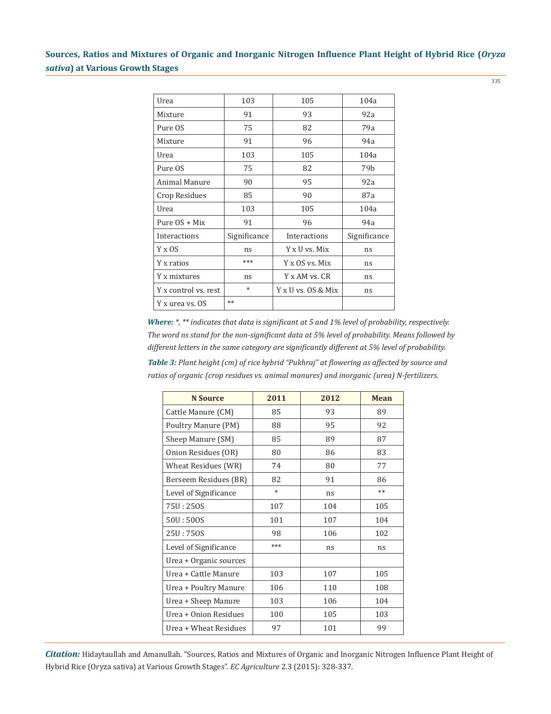335

| Urea                 | 103          | 105                | 104a            |
|----------------------|--------------|--------------------|-----------------|
| Mixture              | 91           | 93                 | 92a             |
| Pure OS              | 75           | 82                 | 79a             |
| Mixture              | 91           | 96                 | 94a             |
| Urea                 | 103          | 105                | 104a            |
| Pure OS              | 75           | 82                 | 79 <sub>b</sub> |
| Animal Manure        | 90           | 95                 | 92a             |
| Crop Residues        | 85           | 90                 | 87a             |
| Urea                 | 103          | 105                | 104a            |
| Pure $OS + Mix$      | 91           | 96                 | 94a             |
| Interactions         | Significance | Interactions       | Significance    |
| $Y \times OS$        | ns           | Y x U vs. Mix      | ns              |
| Y x ratios           | ***          | Y x OS vs. Mix     | ns              |
| Y x mixtures         | ns           | Y x AM vs. CR      | ns              |
| Y x control vs. rest | $\ast$       | Y x U vs. OS & Mix | ns              |
| Y x urea vs. OS      | $**$         |                    |                 |

*Where: \*, \*\* indicates that data is significant at 5 and 1% level of probability, respectively. The word ns stand for the non-significant data at 5% level of probability. Means followed by different letters in the same category are significantly different at 5% level of probability.*

*Table 3: Plant height (cm) of rice hybrid "Pukhraj" at flowering as affected by source and ratios of organic (crop residues vs. animal manures) and inorganic (urea) N-fertilizers.*

| <b>N</b> Source        | 2011   | 2012 | <b>Mean</b> |
|------------------------|--------|------|-------------|
| Cattle Manure (CM)     | 85     | 93   | 89          |
| Poultry Manure (PM)    | 88     | 95   | 92          |
| Sheep Manure (SM)      | 85     | 89   | 87          |
| Onion Residues (OR)    | 80     | 86   | 83          |
| Wheat Residues (WR)    | 74     | 80   | 77          |
| Berseem Residues (BR)  | 82     | 91   | 86          |
| Level of Significance  | $\ast$ | ns   | $**$        |
| 75U: 250S              | 107    | 104  | 105         |
| 50U:500S               | 101    | 107  | 104         |
| 25U: 750S              | 98     | 106  | 102         |
| Level of Significance  | ***    | ns   | ns          |
| Urea + Organic sources |        |      |             |
| Urea + Cattle Manure   | 103    | 107  | 105         |
| Urea + Poultry Manure  | 106    | 110  | 108         |
| Urea + Sheep Manure    | 103    | 106  | 104         |
| Urea + Onion Residues  | 100    | 105  | 103         |
| Urea + Wheat Residues  | 97     | 101  | 99          |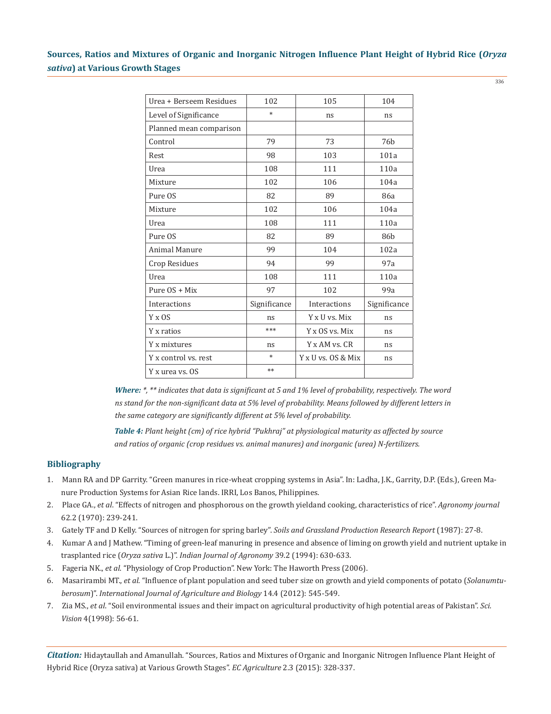| Urea + Berseem Residues | 102          | 105                | 104             |
|-------------------------|--------------|--------------------|-----------------|
| Level of Significance   | $\ast$       | ns                 | ns              |
| Planned mean comparison |              |                    |                 |
| Control                 | 79           | 73                 | 76 <sub>b</sub> |
| Rest                    | 98           | 103                | 101a            |
| Urea                    | 108          | 111                | 110a            |
| Mixture                 | 102          | 106                | 104a            |
| Pure OS                 | 82           | 89                 | 86a             |
| Mixture                 | 102          | 106                | 104a            |
| Urea                    | 108          | 111                | 110a            |
| Pure OS                 | 82           | 89                 | 86 <sub>b</sub> |
| <b>Animal Manure</b>    | 99           | 104                | 102a            |
| Crop Residues           | 94           | 99                 | 97a             |
| Urea                    | 108          | 111                | 110a            |
| Pure OS + Mix           | 97           | 102                | 99a             |
| Interactions            | Significance | Interactions       | Significance    |
| Y x OS                  | ns           | Y x U vs. Mix      | ns              |
| Y x ratios              | ***          | Y x OS vs. Mix     | ns              |
| Y x mixtures            | ns           | Y x AM vs. CR      | ns              |
| Y x control vs. rest    | $\ast$       | Y x U vs. OS & Mix | ns              |
| Y x urea vs. OS         | $**$         |                    |                 |

*Where: \*, \*\* indicates that data is significant at 5 and 1% level of probability, respectively. The word ns stand for the non-significant data at 5% level of probability. Means followed by different letters in the same category are significantly different at 5% level of probability.*

*Table 4: Plant height (cm) of rice hybrid "Pukhraj" at physiological maturity as affected by source and ratios of organic (crop residues vs. animal manures) and inorganic (urea) N-fertilizers.*

### **Bibliography**

- 1. Mann RA and DP Garrity. "Green manures in rice-wheat cropping systems in Asia". In: Ladha, J.K., Garrity, D.P. (Eds.), Green Ma nure Production Systems for Asian Rice lands. IRRI, Los Banos, Philippines.
- 2. Place GA., *et al*. "Effects of nitrogen and phosphorous on the growth yieldand cooking, characteristics of rice". *Agronomy journal* 62.2 (1970): 239-241.
- 3. Gately TF and D Kelly. "Sources of nitrogen for spring barley". *Soils and Grassland Production Research Report* (1987): 27-8.
- 4. Kumar A and J Mathew. "Timing of green-leaf manuring in presence and absence of liming on growth yield and nutrient uptake in trasplanted rice (*Oryza sativa* L.)". *Indian Journal of Agronomy* 39.2 (1994): 630-633.
- 5. Fageria NK., *et al*. "Physiology of Crop Production". New York: The Haworth Press (2006).
- 6. Masarirambi MT., *et al*. "Influence of plant population and seed tuber size on growth and yield components of potato (*Solanumtu berosum*)". *International Journal of Agriculture and Biology* 14.4 (2012): 545-549.
- 7. Zia MS., *et al*. "Soil environmental issues and their impact on agricultural productivity of high potential areas of Pakistan". *Sci. Vision* 4(1998): 56-61.